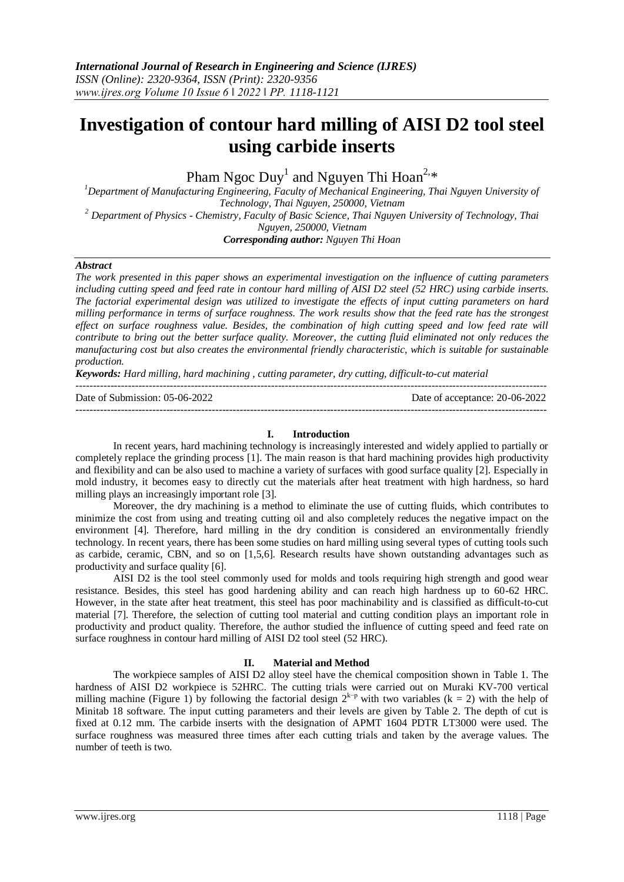# **Investigation of contour hard milling of AISI D2 tool steel using carbide inserts**

Pham Ngoc  $\text{Duy}^1$  and Nguyen Thi Hoan<sup>2,\*</sup>

*<sup>1</sup>Department of Manufacturing Engineering, Faculty of Mechanical Engineering, Thai Nguyen University of Technology, Thai Nguyen, 250000, Vietnam <sup>2</sup> Department of Physics - Chemistry, Faculty of Basic Science, Thai Nguyen University of Technology, Thai Nguyen, 250000, Vietnam Corresponding author: Nguyen Thi Hoan*

## *Abstract*

*The work presented in this paper shows an experimental investigation on the influence of cutting parameters including cutting speed and feed rate in contour hard milling of AISI D2 steel (52 HRC) using carbide inserts. The factorial experimental design was utilized to investigate the effects of input cutting parameters on hard milling performance in terms of surface roughness. The work results show that the feed rate has the strongest effect on surface roughness value. Besides, the combination of high cutting speed and low feed rate will contribute to bring out the better surface quality. Moreover, the cutting fluid eliminated not only reduces the manufacturing cost but also creates the environmental friendly characteristic, which is suitable for sustainable production.* 

*Keywords: Hard milling, hard machining , cutting parameter, dry cutting, difficult-to-cut material*

---------------------------------------------------------------------------------------------------------------------------------------

Date of Submission: 05-06-2022 Date of acceptance: 20-06-2022 ---------------------------------------------------------------------------------------------------------------------------------------

## **I. Introduction**

In recent years, hard machining technology is increasingly interested and widely applied to partially or completely replace the grinding process [1]. The main reason is that hard machining provides high productivity and flexibility and can be also used to machine a variety of surfaces with good surface quality [2]. Especially in mold industry, it becomes easy to directly cut the materials after heat treatment with high hardness, so hard milling plays an increasingly important role [3].

Moreover, the dry machining is a method to eliminate the use of cutting fluids, which contributes to minimize the cost from using and treating cutting oil and also completely reduces the negative impact on the environment [4]. Therefore, hard milling in the dry condition is considered an environmentally friendly technology. In recent years, there has been some studies on hard milling using several types of cutting tools such as carbide, ceramic, CBN, and so on [1,5,6]. Research results have shown outstanding advantages such as productivity and surface quality [6].

AISI D2 is the tool steel commonly used for molds and tools requiring high strength and good wear resistance. Besides, this steel has good hardening ability and can reach high hardness up to 60-62 HRC. However, in the state after heat treatment, this steel has poor machinability and is classified as difficult-to-cut material [7]. Therefore, the selection of cutting tool material and cutting condition plays an important role in productivity and product quality. Therefore, the author studied the influence of cutting speed and feed rate on surface roughness in contour hard milling of AISI D2 tool steel (52 HRC).

## **II. Material and Method**

The workpiece samples of AISI D2 alloy steel have the chemical composition shown in Table 1. The hardness of AISI D2 workpiece is 52HRC. The cutting trials were carried out on Muraki KV-700 vertical milling machine (Figure 1) by following the factorial design  $2^{k-p}$  with two variables (k = 2) with the help of Minitab 18 software. The input cutting parameters and their levels are given by Table 2. The depth of cut is fixed at 0.12 mm. The carbide inserts with the designation of APMT 1604 PDTR LT3000 were used. The surface roughness was measured three times after each cutting trials and taken by the average values. The number of teeth is two.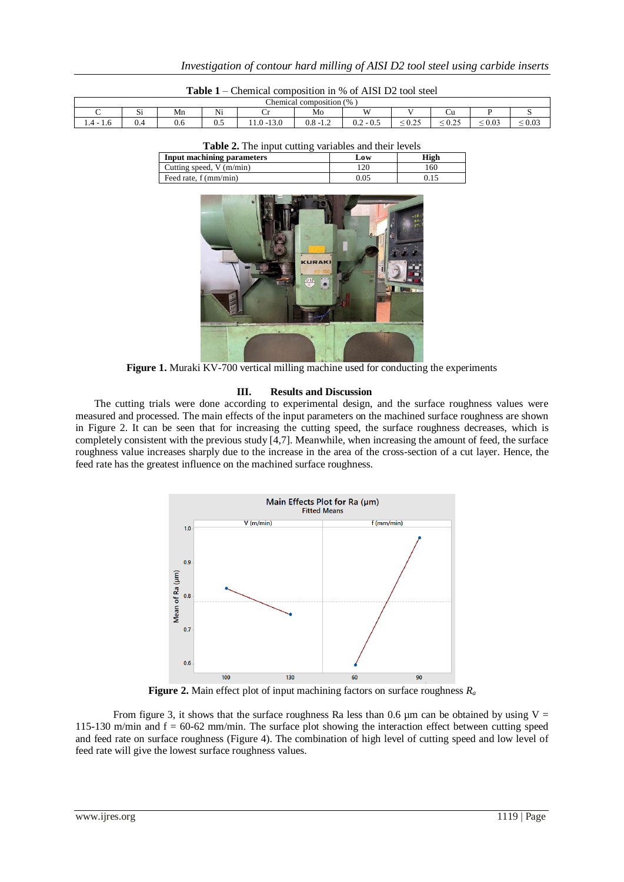| Ō<br>$\frac{9}{6}$<br>composition<br>Chemical |          |     |           |                                                             |                 |                                          |                                          |                                                             |                                                           |                                         |  |
|-----------------------------------------------|----------|-----|-----------|-------------------------------------------------------------|-----------------|------------------------------------------|------------------------------------------|-------------------------------------------------------------|-----------------------------------------------------------|-----------------------------------------|--|
|                                               | --<br>ນ⊥ | Mn  | Ni        | ້                                                           | Mo              | XX7                                      |                                          | ∪u                                                          |                                                           |                                         |  |
| $1.4 -$<br>1.V                                | V.4      | v.u | ×.<br>∪.∪ | $\sim$ $\sim$<br>$\overline{\phantom{a}}$<br>13.U<br>$-1.0$ | - -<br>v.o<br>. | $\sim$ $\sim$<br>$\sim$<br>$-0.5$<br>U.Z | 0.25<br>U.L.<br>$\overline{\phantom{a}}$ | $\sim$ $\sim$<br>$\sim$<br>∪.∠J<br>$\overline{\phantom{a}}$ | $\Omega$<br>$\epsilon$<br>v.v<br>$\overline{\phantom{a}}$ | 0.03<br>- -<br>$\overline{\phantom{a}}$ |  |

| <b>Table 2.</b> The input cutting variables and their levels |      |      |  |  |  |  |  |
|--------------------------------------------------------------|------|------|--|--|--|--|--|
| Input machining parameters                                   | Low  | High |  |  |  |  |  |
| Cutting speed, $V$ (m/min)                                   | 120  | 160  |  |  |  |  |  |
| Feed rate, f (mm/min)                                        | 0.05 | 0.15 |  |  |  |  |  |



**Figure 1.** Muraki KV-700 vertical milling machine used for conducting the experiments

#### **III. Results and Discussion**

The cutting trials were done according to experimental design, and the surface roughness values were measured and processed. The main effects of the input parameters on the machined surface roughness are shown in Figure 2. It can be seen that for increasing the cutting speed, the surface roughness decreases, which is completely consistent with the previous study [4,7]. Meanwhile, when increasing the amount of feed, the surface roughness value increases sharply due to the increase in the area of the cross-section of a cut layer. Hence, the feed rate has the greatest influence on the machined surface roughness.



**Figure 2.** Main effect plot of input machining factors on surface roughness  $R_a$ 

From figure 3, it shows that the surface roughness Ra less than 0.6  $\mu$ m can be obtained by using V = 115-130 m/min and  $f = 60-62$  mm/min. The surface plot showing the interaction effect between cutting speed and feed rate on surface roughness (Figure 4). The combination of high level of cutting speed and low level of feed rate will give the lowest surface roughness values.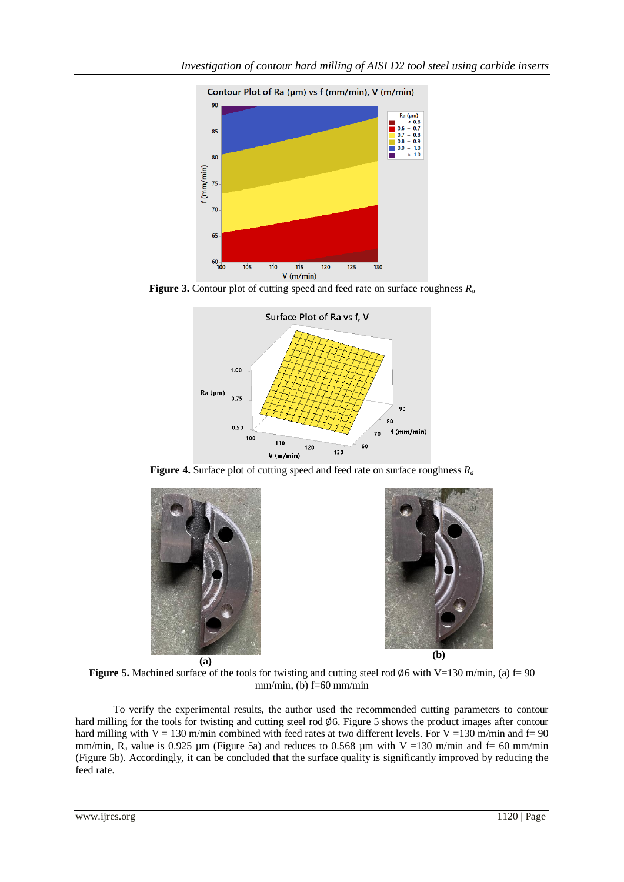

**Figure 3.** Contour plot of cutting speed and feed rate on surface roughness *R<sup>a</sup>*



**Figure 4.** Surface plot of cutting speed and feed rate on surface roughness *R<sup>a</sup>*





**Figure 5.** Machined surface of the tools for twisting and cutting steel rod  $\varnothing$ 6 with V=130 m/min, (a) f= 90 mm/min, (b)  $f=60$  mm/min

To verify the experimental results, the author used the recommended cutting parameters to contour hard milling for the tools for twisting and cutting steel rod  $\phi$ 6. Figure 5 shows the product images after contour hard milling with V = 130 m/min combined with feed rates at two different levels. For V = 130 m/min and f= 90 mm/min,  $R_a$  value is 0.925 µm (Figure 5a) and reduces to 0.568 µm with V =130 m/min and f= 60 mm/min (Figure 5b). Accordingly, it can be concluded that the surface quality is significantly improved by reducing the feed rate.